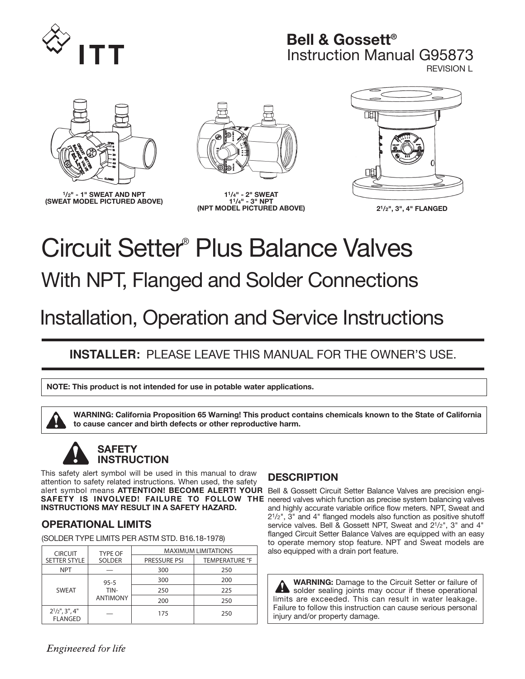

# **Bell & Gossett®** Instruction Manual G95873 REVISION L



**1/2" - 1" SWEAT AND NPT (SWEAT MODEL PICTURED ABOVE)**



**11/4" - 2" SWEAT 11/4" - 3" NPT (NPT MODEL PICTURED ABOVE) 21/2", 3", 4" FLANGED**



# Circuit Setter ® Plus Balance Valves With NPT, Flanged and Solder Connections

# Installation, Operation and Service Instructions

# **INSTALLER:** PLEASE LEAVE THIS MANUAL FOR THE OWNER'S USE.

**NOTE: This product is not intended for use in potable water applications.**

**WARNING: California Proposition 65 Warning! This product contains chemicals known to the State of California to cause cancer and birth defects or other reproductive harm.**

# **SAFETY INSTRUCTION**

This safety alert symbol will be used in this manual to draw attention to safety related instructions. When used, the safety alert symbol means **ATTENTION! BECOME ALERT! YOUR** Bell & Gossett Circuit Setter Balance Valves are precision engi-**SAFETY IS INVOLVED! FAILURE TO FOLLOW THE** neered valves which function as precise system balancing valves **INSTRUCTIONS MAY RESULT IN A SAFETY HAZARD.** 

### **OPERATIONAL LIMITS**

(SOLDER TYPE LIMITS PER ASTM STD. B16.18-1978)

| <b>CIRCUIT</b>                              | <b>TYPE OF</b>          | <b>MAXIMUM LIMITATIONS</b> |                       |  |  |
|---------------------------------------------|-------------------------|----------------------------|-----------------------|--|--|
| <b>SETTER STYLE</b>                         | <b>SOLDER</b>           | <b>PRESSURE PSI</b>        | <b>TEMPERATURE °F</b> |  |  |
| <b>NPT</b>                                  |                         | 300                        | 250                   |  |  |
| <b>SWEAT</b>                                | $95 - 5$                | 300                        | 200                   |  |  |
|                                             | TIN-<br><b>ANTIMONY</b> | 250                        | 225                   |  |  |
|                                             |                         | 200                        | 250                   |  |  |
| $2^{1}/2$ ", $3$ ", $4$ "<br><b>FLANGED</b> |                         | 175                        | 250                   |  |  |

# **DESCRIPTION**

and highly accurate variable orifice flow meters. NPT, Sweat and 21/2", 3" and 4" flanged models also function as positive shutoff service valves. Bell & Gossett NPT, Sweat and 21/2", 3" and 4" flanged Circuit Setter Balance Valves are equipped with an easy to operate memory stop feature. NPT and Sweat models are also equipped with a drain port feature.

**WARNING:** Damage to the Circuit Setter or failure of solder sealing joints may occur if these operational limits are exceeded. This can result in water leakage. Failure to follow this instruction can cause serious personal injury and/or property damage.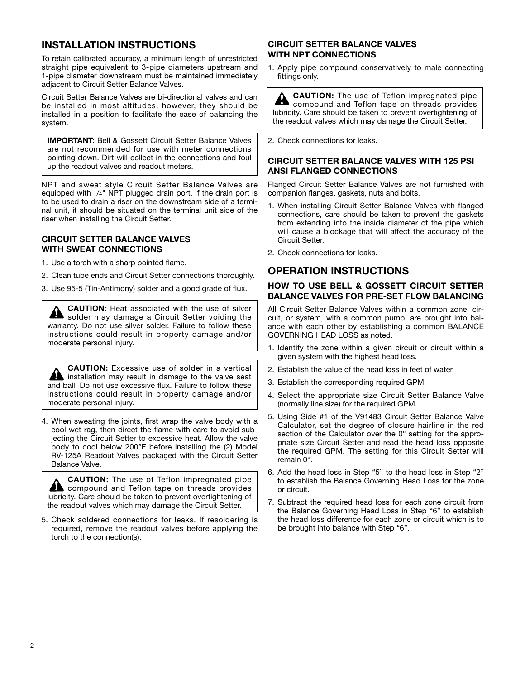### **INSTALLATION INSTRUCTIONS**

To retain calibrated accuracy, a minimum length of unrestricted straight pipe equivalent to 3-pipe diameters upstream and 1-pipe diameter downstream must be maintained immediately adjacent to Circuit Setter Balance Valves.

Circuit Setter Balance Valves are bi-directional valves and can be installed in most altitudes, however, they should be installed in a position to facilitate the ease of balancing the system.

**IMPORTANT:** Bell & Gossett Circuit Setter Balance Valves are not recommended for use with meter connections pointing down. Dirt will collect in the connections and foul up the readout valves and readout meters.

NPT and sweat style Circuit Setter Balance Valves are equipped with <sup>1</sup>/<sub>4</sub>" NPT plugged drain port. If the drain port is to be used to drain a riser on the downstream side of a terminal unit, it should be situated on the terminal unit side of the riser when installing the Circuit Setter.

#### **CIRCUIT SETTER BALANCE VALVES WITH SWEAT CONNECTIONS**

- 1. Use a torch with a sharp pointed flame.
- 2. Clean tube ends and Circuit Setter connections thoroughly.
- 3. Use 95-5 (Tin-Antimony) solder and a good grade of flux.

**CAUTION:** Heat associated with the use of silver solder may damage a Circuit Setter voiding the warranty. Do not use silver solder. Failure to follow these instructions could result in property damage and/or moderate personal injury.

**CAUTION:** Excessive use of solder in a vertical **A** installation may result in damage to the valve seat and ball. Do not use excessive flux. Failure to follow these instructions could result in property damage and/or moderate personal injury.

4. When sweating the joints, first wrap the valve body with a cool wet rag, then direct the flame with care to avoid subjecting the Circuit Setter to excessive heat. Allow the valve body to cool below 200°F before installing the (2) Model RV-125A Readout Valves packaged with the Circuit Setter Balance Valve.

**CAUTION:** The use of Teflon impregnated pipe **A** compound and Teflon tape on threads provides lubricity. Care should be taken to prevent overtightening of the readout valves which may damage the Circuit Setter.

5. Check soldered connections for leaks. If resoldering is required, remove the readout valves before applying the torch to the connection(s).

#### **CIRCUIT SETTER BALANCE VALVES WITH NPT CONNECTIONS**

1. Apply pipe compound conservatively to male connecting fittings only.

**CAUTION:** The use of Teflon impregnated pipe  $\blacktriangle$ compound and Teflon tape on threads provides lubricity. Care should be taken to prevent overtightening of the readout valves which may damage the Circuit Setter.

2. Check connections for leaks.

#### **CIRCUIT SETTER BALANCE VALVES WITH 125 PSI ANSI FLANGED CONNECTIONS**

Flanged Circuit Setter Balance Valves are not furnished with companion flanges, gaskets, nuts and bolts.

- 1. When installing Circuit Setter Balance Valves with flanged connections, care should be taken to prevent the gaskets from extending into the inside diameter of the pipe which will cause a blockage that will affect the accuracy of the Circuit Setter.
- 2. Check connections for leaks.

#### **OPERATION INSTRUCTIONS**

#### **HOW TO USE BELL & GOSSETT CIRCUIT SETTER BALANCE VALVES FOR PRE-SET FLOW BALANCING**

All Circuit Setter Balance Valves within a common zone, circuit, or system, with a common pump, are brought into balance with each other by establishing a common BALANCE GOVERNING HEAD LOSS as noted.

- 1. Identify the zone within a given circuit or circuit within a given system with the highest head loss.
- 2. Establish the value of the head loss in feet of water.
- 3. Establish the corresponding required GPM.
- 4. Select the appropriate size Circuit Setter Balance Valve (normally line size) for the required GPM.
- 5. Using Side #1 of the V91483 Circuit Setter Balance Valve Calculator, set the degree of closure hairline in the red section of the Calculator over the 0° setting for the appropriate size Circuit Setter and read the head loss opposite the required GPM. The setting for this Circuit Setter will remain 0°.
- 6. Add the head loss in Step "5" to the head loss in Step "2" to establish the Balance Governing Head Loss for the zone or circuit.
- 7. Subtract the required head loss for each zone circuit from the Balance Governing Head Loss in Step "6" to establish the head loss difference for each zone or circuit which is to be brought into balance with Step "6".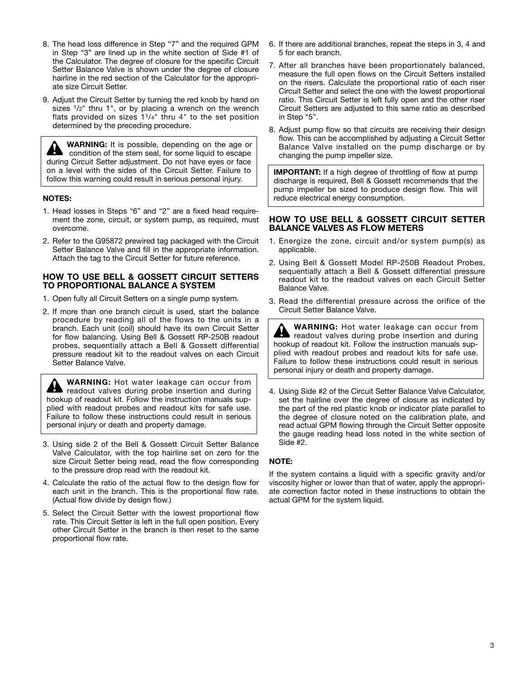- 8. The head loss difference in Step "7" and the required GPM in Step "3" are lined up in the white section of Side #1 of the Calculator. The degree of closure for the specific Circuit Setter Balance Valve is shown under the degree of closure hairline in the red section of the Calculator for the appropriate size Circuit Setter.
- 9. Adjust the Circuit Setter by turning the red knob by hand on sizes  $1/2$ " thru 1", or by placing a wrench on the wrench flats provided on sizes  $1^{1/4}$ " thru 4" to the set position determined by the preceding procedure.

**WARNING:** It is possible, depending on the age or condition of the stem seal, for some liquid to escape during Circuit Setter adjustment. Do not have eyes or face on a level with the sides of the Circuit Setter. Failure to follow this warning could result in serious personal injury.

#### **NOTES:**

- 1. Head losses in Steps "6" and "2" are a fixed head requirement the zone, circuit, or system pump, as required, must overcome.
- 2. Refer to the G95872 prewired tag packaged with the Circuit Setter Balance Valve and fill in the appropriate information. Attach the tag to the Circuit Setter for future reference.

#### **HOW TO USE BELL & GOSSETT CIRCUIT SETTERS TO PROPORTIONAL BALANCE A SYSTEM**

- 1. Open fully all Circuit Setters on a single pump system.
- 2. If more than one branch circuit is used, start the balance procedure by reading all of the flows to the units in a branch. Each unit (coil) should have its own Circuit Setter for flow balancing. Using Bell & Gossett RP-250B readout probes, sequentially attach a Bell & Gossett differential pressure readout kit to the readout valves on each Circuit Setter Balance Valve.

**WARNING:** Hot water leakage can occur from **Readout valves during probe insertion and during** hookup of readout kit. Follow the instruction manuals supplied with readout probes and readout kits for safe use. Failure to follow these instructions could result in serious personal injury or death and property damage.

- 3. Using side 2 of the Bell & Gossett Circuit Setter Balance Valve Calculator, with the top hairline set on zero for the size Circuit Setter being read, read the flow corresponding to the pressure drop read with the readout kit.
- 4. Calculate the ratio of the actual flow to the design flow for each unit in the branch. This is the proportional flow rate. (Actual flow divide by design flow.)
- 5. Select the Circuit Setter with the lowest proportional flow rate. This Circuit Setter is left in the full open position. Every other Circuit Setter in the branch is then reset to the same proportional flow rate.
- 6. If there are additional branches, repeat the steps in 3, 4 and 5 for each branch.
- 7. After all branches have been proportionately balanced, measure the full open flows on the Circuit Setters installed on the risers. Calculate the proportional ratio of each riser Circuit Setter and select the one with the lowest proportional ratio. This Circuit Setter is left fully open and the other riser Circuit Setters are adjusted to this same ratio as described in Step "5".
- 8. Adjust pump flow so that circuits are receiving their design flow. This can be accomplished by adjusting a Circuit Setter Balance Valve installed on the pump discharge or by changing the pump impeller size.

**IMPORTANT:** If a high degree of throttling of flow at pump discharge is required, Bell & Gossett recommends that the pump impeller be sized to produce design flow. This will reduce electrical energy consumption.

#### **HOW TO USE BELL & GOSSETT CIRCUIT SETTER BALANCE VALVES AS FLOW METERS**

- 1. Energize the zone, circuit and/or system pump(s) as applicable.
- 2. Using Bell & Gossett Model RP-250B Readout Probes, sequentially attach a Bell & Gossett differential pressure readout kit to the readout valves on each Circuit Setter Balance Valve.
- 3. Read the differential pressure across the orifice of the Circuit Setter Balance Valve.

**WARNING:** Hot water leakage can occur from readout valves during probe insertion and during hookup of readout kit. Follow the instruction manuals supplied with readout probes and readout kits for safe use. Failure to follow these instructions could result in serious personal injury or death and property damage.

4. Using Side #2 of the Circuit Setter Balance Valve Calculator, set the hairline over the degree of closure as indicated by the part of the red plastic knob or indicator plate parallel to the degree of closure noted on the calibration plate, and read actual GPM flowing through the Circuit Setter opposite the gauge reading head loss noted in the white section of Side #2.

#### **NOTE:**

If the system contains a liquid with a specific gravity and/or viscosity higher or lower than that of water, apply the appropriate correction factor noted in these instructions to obtain the actual GPM for the system liquid.